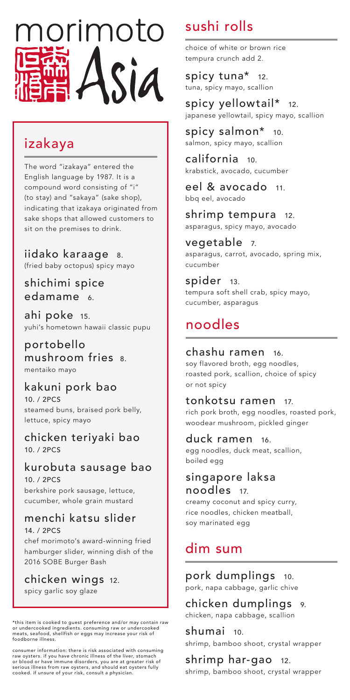

### izakaya

The word "izakaya" entered the English language by 1987. It is a compound word consisting of "i" (to stay) and "sakaya" (sake shop), indicating that izakaya originated from sake shops that allowed customers to sit on the premises to drink.

iidako karaage 8. (fried baby octopus) spicy mayo

shichimi spice edamame 6.

ahi poke 15. yuhi's hometown hawaii classic pupu

portobello mushroom fries 8. mentaiko mayo

#### kakuni pork bao

10. / 2PCS steamed buns, braised pork belly, lettuce, spicy mayo

chicken teriyaki bao 10. / 2PCS

kurobuta sausage bao 10. / 2PCS

berkshire pork sausage, lettuce, cucumber, whole grain mustard

### menchi katsu slider

14. / 2PCS

chef morimoto's award-winning fried hamburger slider, winning dish of the 2016 SOBE Burger Bash

chicken wings 12. spicy garlic soy glaze

\*this item is cooked to guest preference and/or may contain raw or undercooked ingredients. consuming raw or undercooked meats, seafood, shellfish or eggs may increase your risk of foodborne illness.

consumer information: there is risk associated with consuming raw oysters. if you have chronic illness of the liver, stomach or blood or have immune disorders, you are at greater risk of serious illness from raw oysters, and should eat oysters fully cooked. if unsure of your risk, consult a physician.

# sushi rolls

choice of white or brown rice tempura crunch add 2.

spicy tuna\* 12. tuna, spicy mayo, scallion

spicy yellowtail\* 12. japanese yellowtail, spicy mayo, scallion

spicy salmon\* 10. salmon, spicy mayo, scallion

california 10. krabstick, avocado, cucumber

eel & avocado 11. bbq eel, avocado

shrimp tempura 12. asparagus, spicy mayo, avocado

vegetable 7. asparagus, carrot, avocado, spring mix, cucumber

spider 13. tempura soft shell crab, spicy mayo, cucumber, asparagus

## noodles

#### chashu ramen 16.

soy flavored broth, egg noodles, roasted pork, scallion, choice of spicy or not spicy

#### tonkotsu ramen 17.

rich pork broth, egg noodles, roasted pork, woodear mushroom, pickled ginger

#### duck ramen 16.

egg noodles, duck meat, scallion, boiled egg

#### singapore laksa noodles 17.

creamy coconut and spicy curry, rice noodles, chicken meatball, soy marinated egg

### dim sum

pork dumplings 10. pork, napa cabbage, garlic chive

chicken dumplings 9. chicken, napa cabbage, scallion

shumai 10. shrimp, bamboo shoot, crystal wrapper

shrimp har-gao 12. shrimp, bamboo shoot, crystal wrapper